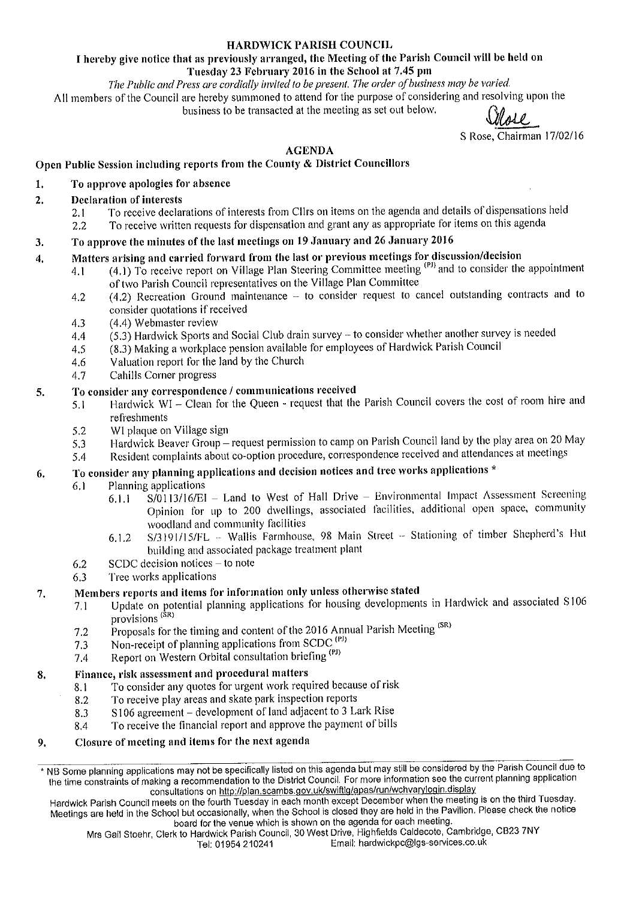### **HARDWICK PARISH COUNCIL**

### I hereby give notice that as previously arranged, the Meeting of the Parish Council will be held on Tuesday 23 February 2016 in the School at 7.45 pm

The Public and Press are cordially invited to be present. The order of business may be varied. All members of the Council are hereby summoned to attend for the purpose of considering and resolving upon the business to be transacted at the meeting as set out below.

Shore

S Rose, Chairman 17/02/16

## **AGENDA**

# Open Public Session including reports from the County & District Councillors

# To approve apologies for absence

#### **Declaration of interests**  $2.$

 $\mathbf{1}$ .

- To receive declarations of interests from Cllrs on items on the agenda and details of dispensations held  $2.1$
- To receive written requests for dispensation and grant any as appropriate for items on this agenda  $2.2$

#### To approve the minutes of the last meetings on 19 January and 26 January 2016 3.

#### Matters arising and carried forward from the last or previous meetings for discussion/decision  $\boldsymbol{4}$ .

- (4.1) To receive report on Village Plan Steering Committee meeting <sup>(PJ)</sup> and to consider the appointment  $4.1$ of two Parish Council representatives on the Village Plan Committee
	- (4.2) Recreation Ground maintenance to consider request to cancel outstanding contracts and to 4.2 consider quotations if received
	- (4.4) Webmaster review  $4.3$
	- $(5.3)$  Hardwick Sports and Social Club drain survey to consider whether another survey is needed  $4.4$
	- (8.3) Making a workplace pension available for employees of Hardwick Parish Council 4.5
	- Valuation report for the land by the Church 4.6
	- Cahills Corner progress 4.7

#### To consider any correspondence / communications received 5.

- Hardwick WI Clean for the Queen request that the Parish Council covers the cost of room hire and  $5.1$ refreshments
	- 5.2 WI plaque on Village sign
	- Hardwick Beaver Group request permission to camp on Parish Council land by the play area on 20 May 5.3
	- Resident complaints about co-option procedure, correspondence received and attendances at meetings 5.4

#### To consider any planning applications and decision notices and tree works applications \* 6.

- Planning applications  $6.1$ 
	- S/0113/16/EI Land to West of Hall Drive Environmental Impact Assessment Screening  $6.1.1$ Opinion for up to 200 dwellings, associated facilities, additional open space, community woodland and community facilities
	- S/3191/15/FL Wallis Farmhouse, 98 Main Street Stationing of timber Shepherd's Hut 6.1.2 building and associated package treatment plant
- SCDC decision notices to note 6.2
- Tree works applications 6.3

#### Members reports and items for information only unless otherwise stated 7.

- Update on potential planning applications for housing developments in Hardwick and associated S106  $7.1$ provisions<sup>(SR)</sup>
- Proposals for the timing and content of the 2016 Annual Parish Meeting (SR)  $7.2$
- Non-receipt of planning applications from SCDC<sup>(PJ)</sup> 7.3
- Report on Western Orbital consultation briefing<sup>(PJ)</sup> 7.4

#### Finance, risk assessment and procedural matters 8.

- To consider any quotes for urgent work required because of risk 8.1
- To receive play areas and skate park inspection reports 8.2
- S106 agreement development of land adjacent to 3 Lark Rise 8.3
- To receive the financial report and approve the payment of bills 8.4

#### Closure of meeting and items for the next agenda 9.

\* NB Some planning applications may not be specifically listed on this agenda but may still be considered by the Parish Council due to the time constraints of making a recommendation to the District Council. For more information see the current planning application consultations on http://plan.scambs.gov.uk/swiftlg/apas/run/wchvarylogin.display

Hardwick Parish Council meets on the fourth Tuesday in each month except December when the meeting is on the third Tuesday. Meetings are held in the School but occasionally, when the School is closed they are held in the Pavilion. Please check the notice board for the venue which is shown on the agenda for each meeting.

Mrs Gail Stoehr, Clerk to Hardwick Parish Council, 30 West Drive, Highfields Caldecote, Cambridge, CB23 7NY Email: hardwickpc@lgs-services.co.uk Tel: 01954 210241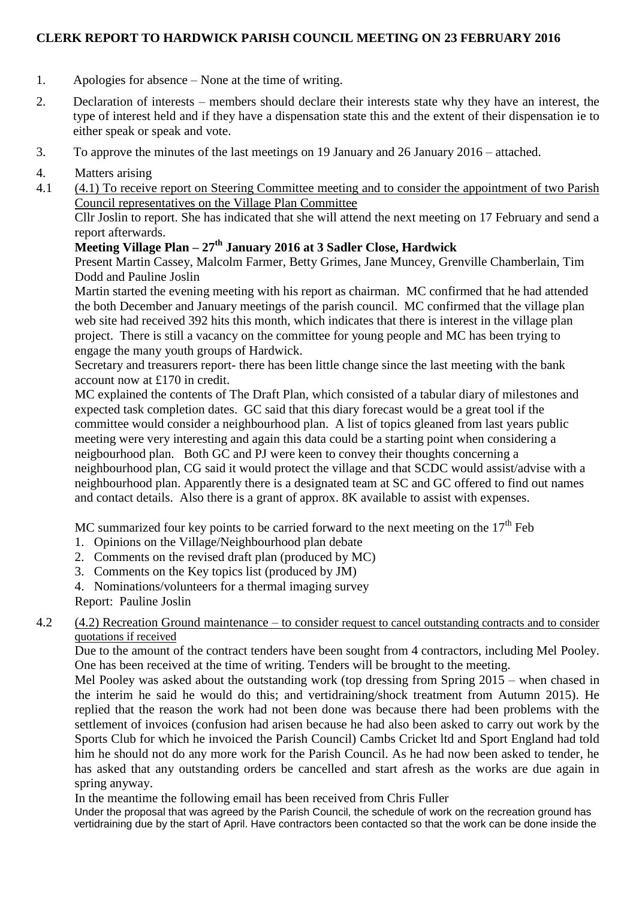# **CLERK REPORT TO HARDWICK PARISH COUNCIL MEETING ON 23 FEBRUARY 2016**

- 1. Apologies for absence None at the time of writing.
- 2. Declaration of interests members should declare their interests state why they have an interest, the type of interest held and if they have a dispensation state this and the extent of their dispensation ie to either speak or speak and vote.
- 3. To approve the minutes of the last meetings on 19 January and 26 January 2016 attached.

# 4. Matters arising

4.1 (4.1) To receive report on Steering Committee meeting and to consider the appointment of two Parish Council representatives on the Village Plan Committee

Cllr Joslin to report. She has indicated that she will attend the next meeting on 17 February and send a report afterwards.

# **Meeting Village Plan – 27th January 2016 at 3 Sadler Close, Hardwick**

Present Martin Cassey, Malcolm Farmer, Betty Grimes, Jane Muncey, Grenville Chamberlain, Tim Dodd and Pauline Joslin

Martin started the evening meeting with his report as chairman. MC confirmed that he had attended the both December and January meetings of the parish council. MC confirmed that the village plan web site had received 392 hits this month, which indicates that there is interest in the village plan project. There is still a vacancy on the committee for young people and MC has been trying to engage the many youth groups of Hardwick.

Secretary and treasurers report- there has been little change since the last meeting with the bank account now at £170 in credit.

MC explained the contents of The Draft Plan, which consisted of a tabular diary of milestones and expected task completion dates. GC said that this diary forecast would be a great tool if the committee would consider a neighbourhood plan. A list of topics gleaned from last years public meeting were very interesting and again this data could be a starting point when considering a neigbourhood plan. Both GC and PJ were keen to convey their thoughts concerning a neighbourhood plan, CG said it would protect the village and that SCDC would assist/advise with a neighbourhood plan. Apparently there is a designated team at SC and GC offered to find out names and contact details. Also there is a grant of approx. 8K available to assist with expenses.

MC summarized four key points to be carried forward to the next meeting on the  $17<sup>th</sup>$  Feb

- 1. Opinions on the Village/Neighbourhood plan debate
- 2. Comments on the revised draft plan (produced by MC)
- 3. Comments on the Key topics list (produced by JM)
- 4. Nominations/volunteers for a thermal imaging survey
- Report: Pauline Joslin

# 4.2 (4.2) Recreation Ground maintenance – to consider request to cancel outstanding contracts and to consider quotations if received

Due to the amount of the contract tenders have been sought from 4 contractors, including Mel Pooley. One has been received at the time of writing. Tenders will be brought to the meeting.

Mel Pooley was asked about the outstanding work (top dressing from Spring 2015 – when chased in the interim he said he would do this; and vertidraining/shock treatment from Autumn 2015). He replied that the reason the work had not been done was because there had been problems with the settlement of invoices (confusion had arisen because he had also been asked to carry out work by the Sports Club for which he invoiced the Parish Council) Cambs Cricket ltd and Sport England had told him he should not do any more work for the Parish Council. As he had now been asked to tender, he has asked that any outstanding orders be cancelled and start afresh as the works are due again in spring anyway.

In the meantime the following email has been received from Chris Fuller

Under the proposal that was agreed by the Parish Council, the schedule of work on the recreation ground has vertidraining due by the start of April. Have contractors been contacted so that the work can be done inside the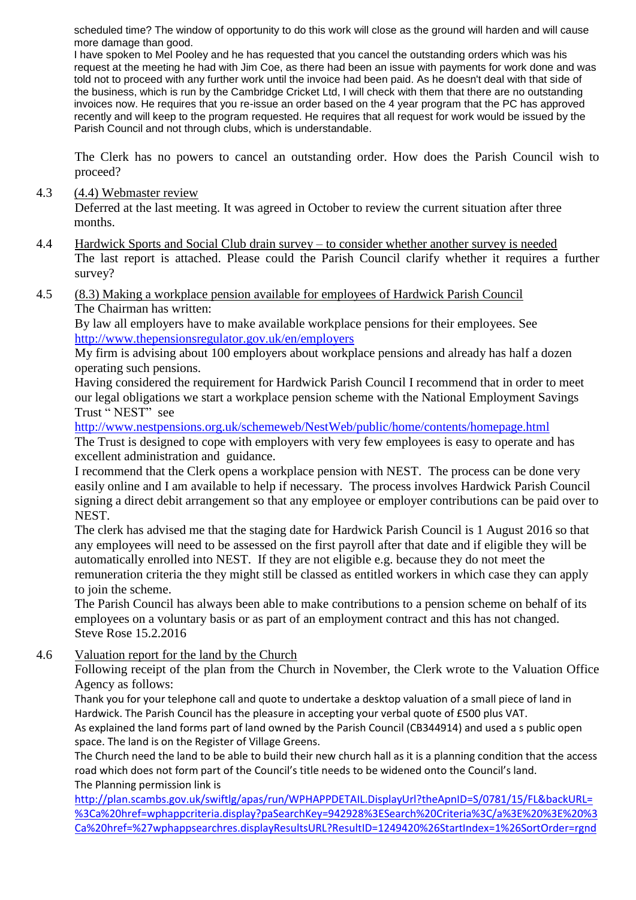scheduled time? The window of opportunity to do this work will close as the ground will harden and will cause more damage than good.

I have spoken to Mel Pooley and he has requested that you cancel the outstanding orders which was his request at the meeting he had with Jim Coe, as there had been an issue with payments for work done and was told not to proceed with any further work until the invoice had been paid. As he doesn't deal with that side of the business, which is run by the Cambridge Cricket Ltd, I will check with them that there are no outstanding invoices now. He requires that you re-issue an order based on the 4 year program that the PC has approved recently and will keep to the program requested. He requires that all request for work would be issued by the Parish Council and not through clubs, which is understandable.

The Clerk has no powers to cancel an outstanding order. How does the Parish Council wish to proceed?

4.3 (4.4) Webmaster review

Deferred at the last meeting. It was agreed in October to review the current situation after three months.

- 4.4 Hardwick Sports and Social Club drain survey to consider whether another survey is needed The last report is attached. Please could the Parish Council clarify whether it requires a further survey?
- 4.5 (8.3) Making a workplace pension available for employees of Hardwick Parish Council The Chairman has written:

By law all employers have to make available workplace pensions for their employees. See <http://www.thepensionsregulator.gov.uk/en/employers>

My firm is advising about 100 employers about workplace pensions and already has half a dozen operating such pensions.

Having considered the requirement for Hardwick Parish Council I recommend that in order to meet our legal obligations we start a workplace pension scheme with the National Employment Savings Trust " NEST" see

<http://www.nestpensions.org.uk/schemeweb/NestWeb/public/home/contents/homepage.html>

The Trust is designed to cope with employers with very few employees is easy to operate and has excellent administration and guidance.

I recommend that the Clerk opens a workplace pension with NEST. The process can be done very easily online and I am available to help if necessary. The process involves Hardwick Parish Council signing a direct debit arrangement so that any employee or employer contributions can be paid over to NEST.

The clerk has advised me that the staging date for Hardwick Parish Council is 1 August 2016 so that any employees will need to be assessed on the first payroll after that date and if eligible they will be automatically enrolled into NEST. If they are not eligible e.g. because they do not meet the remuneration criteria the they might still be classed as entitled workers in which case they can apply to join the scheme.

The Parish Council has always been able to make contributions to a pension scheme on behalf of its employees on a voluntary basis or as part of an employment contract and this has not changed. Steve Rose 15.2.2016

4.6 Valuation report for the land by the Church

Following receipt of the plan from the Church in November, the Clerk wrote to the Valuation Office Agency as follows:

Thank you for your telephone call and quote to undertake a desktop valuation of a small piece of land in Hardwick. The Parish Council has the pleasure in accepting your verbal quote of £500 plus VAT.

As explained the land forms part of land owned by the Parish Council (CB344914) and used a s public open space. The land is on the Register of Village Greens.

The Church need the land to be able to build their new church hall as it is a planning condition that the access road which does not form part of the Council's title needs to be widened onto the Council's land. The Planning permission link is

[http://plan.scambs.gov.uk/swiftlg/apas/run/WPHAPPDETAIL.DisplayUrl?theApnID=S/0781/15/FL&backURL=](http://plan.scambs.gov.uk/swiftlg/apas/run/WPHAPPDETAIL.DisplayUrl?theApnID=S/0781/15/FL&backURL=%3Ca%20href=wphappcriteria.display?paSearchKey=942928%3ESearch%20Criteria%3C/a%3E%20%3E%20%3Ca%20href=%27wphappsearchres.displayResultsURL?ResultID=1249420%26StartIndex=1%26SortOrder=rgndat:desc%26DispResultsAs=WPHAPPSEARCHRES%26BackURL=%3Ca%20href=wphappcriteria.display?paSearchKey=942928%3ESearch%20Criteria%3C/a%3E%27%3ESearch%20Results%3C/a%3E) [%3Ca%20href=wphappcriteria.display?paSearchKey=942928%3ESearch%20Criteria%3C/a%3E%20%3E%20%3](http://plan.scambs.gov.uk/swiftlg/apas/run/WPHAPPDETAIL.DisplayUrl?theApnID=S/0781/15/FL&backURL=%3Ca%20href=wphappcriteria.display?paSearchKey=942928%3ESearch%20Criteria%3C/a%3E%20%3E%20%3Ca%20href=%27wphappsearchres.displayResultsURL?ResultID=1249420%26StartIndex=1%26SortOrder=rgndat:desc%26DispResultsAs=WPHAPPSEARCHRES%26BackURL=%3Ca%20href=wphappcriteria.display?paSearchKey=942928%3ESearch%20Criteria%3C/a%3E%27%3ESearch%20Results%3C/a%3E) [Ca%20href=%27wphappsearchres.displayResultsURL?ResultID=1249420%26StartIndex=1%26SortOrder=rgnd](http://plan.scambs.gov.uk/swiftlg/apas/run/WPHAPPDETAIL.DisplayUrl?theApnID=S/0781/15/FL&backURL=%3Ca%20href=wphappcriteria.display?paSearchKey=942928%3ESearch%20Criteria%3C/a%3E%20%3E%20%3Ca%20href=%27wphappsearchres.displayResultsURL?ResultID=1249420%26StartIndex=1%26SortOrder=rgndat:desc%26DispResultsAs=WPHAPPSEARCHRES%26BackURL=%3Ca%20href=wphappcriteria.display?paSearchKey=942928%3ESearch%20Criteria%3C/a%3E%27%3ESearch%20Results%3C/a%3E)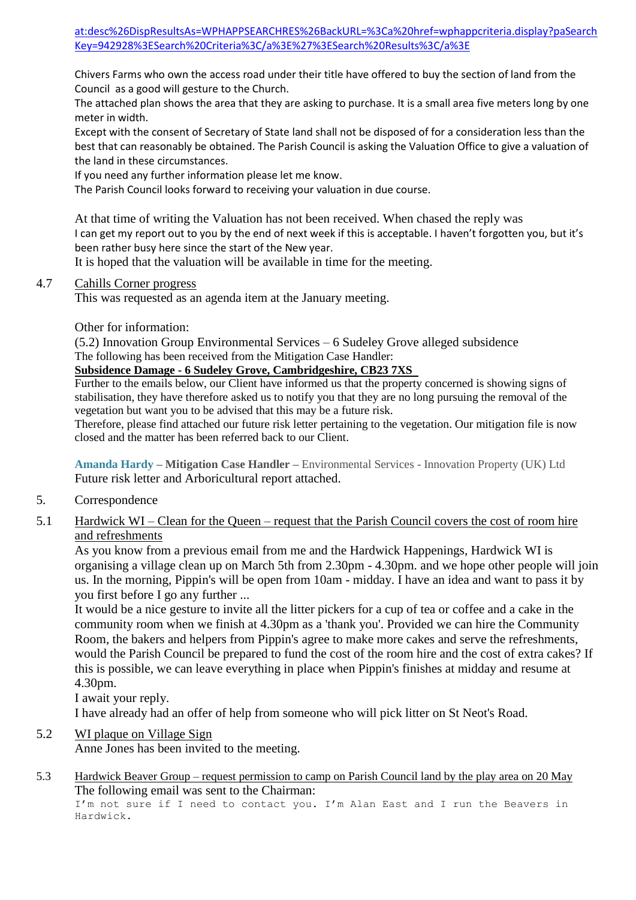at:desc%26DispResultsAs=WPHAPPSEARCHRES%26BackURL=%3Ca%20href=wphappcriteria.display?paSearch Key=942928%3ESearch%20Criteria%3C/a%3E%27%3ESearch%20Results%3C/a%3E

Chivers Farms who own the access road under their title have offered to buy the section of land from the Council as a good will gesture to the Church.

The attached plan shows the area that they are asking to purchase. It is a small area five meters long by one meter in width.

Except with the consent of Secretary of State land shall not be disposed of for a consideration less than the best that can reasonably be obtained. The Parish Council is asking the Valuation Office to give a valuation of the land in these circumstances.

If you need any further information please let me know.

The Parish Council looks forward to receiving your valuation in due course.

At that time of writing the Valuation has not been received. When chased the reply was I can get my report out to you by the end of next week if this is acceptable. I haven't forgotten you, but it's been rather busy here since the start of the New year.

It is hoped that the valuation will be available in time for the meeting.

### 4.7 Cahills Corner progress

This was requested as an agenda item at the January meeting.

Other for information:

(5.2) Innovation Group Environmental Services – 6 Sudeley Grove alleged subsidence The following has been received from the Mitigation Case Handler:

## **Subsidence Damage - 6 Sudeley Grove, Cambridgeshire, CB23 7XS**

Further to the emails below, our Client have informed us that the property concerned is showing signs of stabilisation, they have therefore asked us to notify you that they are no long pursuing the removal of the vegetation but want you to be advised that this may be a future risk.

Therefore, please find attached our future risk letter pertaining to the vegetation. Our mitigation file is now closed and the matter has been referred back to our Client.

**Amanda Hardy** *–* **Mitigation Case Handler –** Environmental Services - Innovation Property (UK) Ltd Future risk letter and Arboricultural report attached.

- 5. Correspondence
- 5.1 Hardwick WI Clean for the Queen request that the Parish Council covers the cost of room hire and refreshments

As you know from a previous email from me and the Hardwick Happenings, Hardwick WI is organising a village clean up on March 5th from 2.30pm - 4.30pm. and we hope other people will join us. In the morning, Pippin's will be open from 10am - midday. I have an idea and want to pass it by you first before I go any further ...

It would be a nice gesture to invite all the litter pickers for a cup of tea or coffee and a cake in the community room when we finish at 4.30pm as a 'thank you'. Provided we can hire the Community Room, the bakers and helpers from Pippin's agree to make more cakes and serve the refreshments, would the Parish Council be prepared to fund the cost of the room hire and the cost of extra cakes? If this is possible, we can leave everything in place when Pippin's finishes at midday and resume at 4.30pm.

I await your reply.

I have already had an offer of help from someone who will pick litter on St Neot's Road.

# 5.2 WI plaque on Village Sign

Anne Jones has been invited to the meeting.

5.3 Hardwick Beaver Group – request permission to camp on Parish Council land by the play area on 20 May The following email was sent to the Chairman:

I'm not sure if I need to contact you. I'm Alan East and I run the Beavers in Hardwick.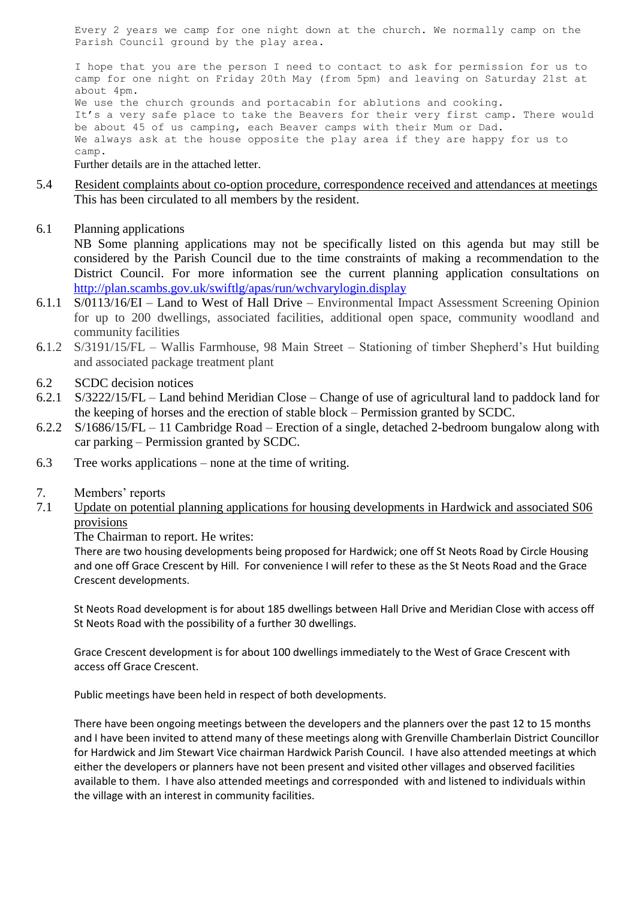Every 2 years we camp for one night down at the church. We normally camp on the Parish Council ground by the play area.

I hope that you are the person I need to contact to ask for permission for us to camp for one night on Friday 20th May (from 5pm) and leaving on Saturday 21st at about 4pm. We use the church grounds and portacabin for ablutions and cooking. It's a very safe place to take the Beavers for their very first camp. There would be about 45 of us camping, each Beaver camps with their Mum or Dad. We always ask at the house opposite the play area if they are happy for us to camp.

Further details are in the attached letter.

- 5.4 Resident complaints about co-option procedure, correspondence received and attendances at meetings This has been circulated to all members by the resident.
- 6.1 Planning applications

NB Some planning applications may not be specifically listed on this agenda but may still be considered by the Parish Council due to the time constraints of making a recommendation to the District Council. For more information see the current planning application consultations on <http://plan.scambs.gov.uk/swiftlg/apas/run/wchvarylogin.display>

- 6.1.1 S/0113/16/EI Land to West of Hall Drive Environmental Impact Assessment Screening Opinion for up to 200 dwellings, associated facilities, additional open space, community woodland and community facilities
- 6.1.2 S/3191/15/FL Wallis Farmhouse, 98 Main Street Stationing of timber Shepherd"s Hut building and associated package treatment plant
- 6.2 SCDC decision notices
- 6.2.1 S/3222/15/FL Land behind Meridian Close Change of use of agricultural land to paddock land for the keeping of horses and the erection of stable block – Permission granted by SCDC.
- 6.2.2 S/1686/15/FL 11 Cambridge Road Erection of a single, detached 2-bedroom bungalow along with car parking – Permission granted by SCDC.
- 6.3 Tree works applications none at the time of writing.
- 7. Members" reports
- 7.1 Update on potential planning applications for housing developments in Hardwick and associated S06 provisions

### The Chairman to report. He writes:

There are two housing developments being proposed for Hardwick; one off St Neots Road by Circle Housing and one off Grace Crescent by Hill. For convenience I will refer to these as the St Neots Road and the Grace Crescent developments.

St Neots Road development is for about 185 dwellings between Hall Drive and Meridian Close with access off St Neots Road with the possibility of a further 30 dwellings.

Grace Crescent development is for about 100 dwellings immediately to the West of Grace Crescent with access off Grace Crescent.

Public meetings have been held in respect of both developments.

There have been ongoing meetings between the developers and the planners over the past 12 to 15 months and I have been invited to attend many of these meetings along with Grenville Chamberlain District Councillor for Hardwick and Jim Stewart Vice chairman Hardwick Parish Council. I have also attended meetings at which either the developers or planners have not been present and visited other villages and observed facilities available to them. I have also attended meetings and corresponded with and listened to individuals within the village with an interest in community facilities.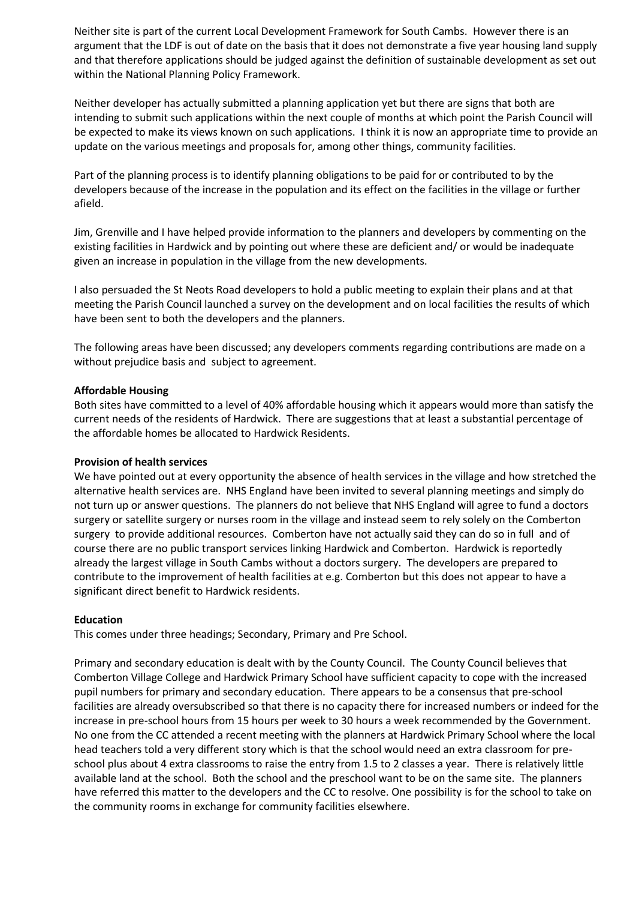Neither site is part of the current Local Development Framework for South Cambs. However there is an argument that the LDF is out of date on the basis that it does not demonstrate a five year housing land supply and that therefore applications should be judged against the definition of sustainable development as set out within the National Planning Policy Framework.

Neither developer has actually submitted a planning application yet but there are signs that both are intending to submit such applications within the next couple of months at which point the Parish Council will be expected to make its views known on such applications. I think it is now an appropriate time to provide an update on the various meetings and proposals for, among other things, community facilities.

Part of the planning process is to identify planning obligations to be paid for or contributed to by the developers because of the increase in the population and its effect on the facilities in the village or further afield.

Jim, Grenville and I have helped provide information to the planners and developers by commenting on the existing facilities in Hardwick and by pointing out where these are deficient and/ or would be inadequate given an increase in population in the village from the new developments.

I also persuaded the St Neots Road developers to hold a public meeting to explain their plans and at that meeting the Parish Council launched a survey on the development and on local facilities the results of which have been sent to both the developers and the planners.

The following areas have been discussed; any developers comments regarding contributions are made on a without prejudice basis and subject to agreement.

#### **Affordable Housing**

Both sites have committed to a level of 40% affordable housing which it appears would more than satisfy the current needs of the residents of Hardwick. There are suggestions that at least a substantial percentage of the affordable homes be allocated to Hardwick Residents.

#### **Provision of health services**

We have pointed out at every opportunity the absence of health services in the village and how stretched the alternative health services are. NHS England have been invited to several planning meetings and simply do not turn up or answer questions. The planners do not believe that NHS England will agree to fund a doctors surgery or satellite surgery or nurses room in the village and instead seem to rely solely on the Comberton surgery to provide additional resources. Comberton have not actually said they can do so in full and of course there are no public transport services linking Hardwick and Comberton. Hardwick is reportedly already the largest village in South Cambs without a doctors surgery. The developers are prepared to contribute to the improvement of health facilities at e.g. Comberton but this does not appear to have a significant direct benefit to Hardwick residents.

#### **Education**

This comes under three headings; Secondary, Primary and Pre School.

Primary and secondary education is dealt with by the County Council. The County Council believes that Comberton Village College and Hardwick Primary School have sufficient capacity to cope with the increased pupil numbers for primary and secondary education. There appears to be a consensus that pre-school facilities are already oversubscribed so that there is no capacity there for increased numbers or indeed for the increase in pre-school hours from 15 hours per week to 30 hours a week recommended by the Government. No one from the CC attended a recent meeting with the planners at Hardwick Primary School where the local head teachers told a very different story which is that the school would need an extra classroom for preschool plus about 4 extra classrooms to raise the entry from 1.5 to 2 classes a year. There is relatively little available land at the school. Both the school and the preschool want to be on the same site. The planners have referred this matter to the developers and the CC to resolve. One possibility is for the school to take on the community rooms in exchange for community facilities elsewhere.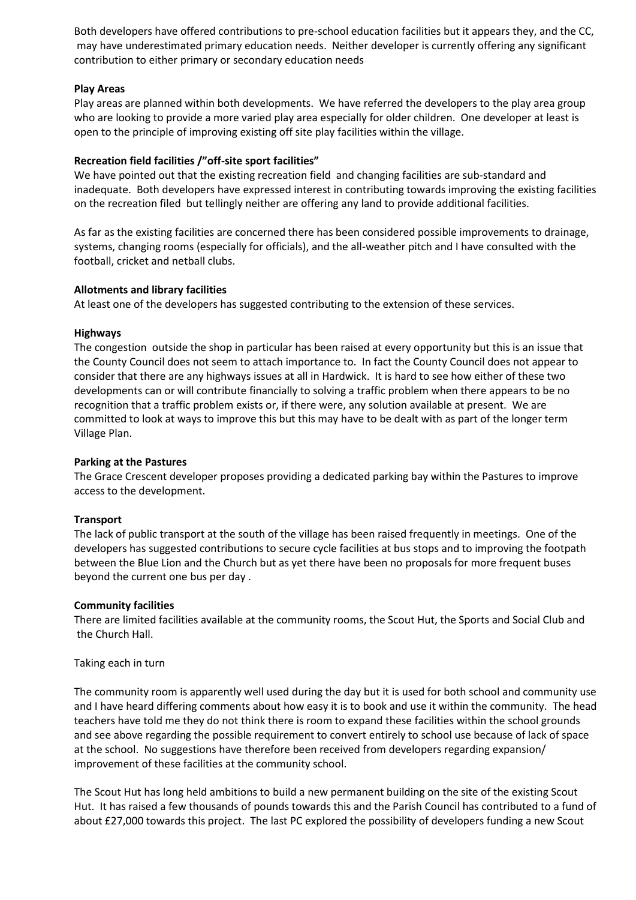Both developers have offered contributions to pre-school education facilities but it appears they, and the CC, may have underestimated primary education needs. Neither developer is currently offering any significant contribution to either primary or secondary education needs

### **Play Areas**

Play areas are planned within both developments. We have referred the developers to the play area group who are looking to provide a more varied play area especially for older children. One developer at least is open to the principle of improving existing off site play facilities within the village.

## **Recreation field facilities /"off-site sport facilities"**

We have pointed out that the existing recreation field and changing facilities are sub-standard and inadequate. Both developers have expressed interest in contributing towards improving the existing facilities on the recreation filed but tellingly neither are offering any land to provide additional facilities.

As far as the existing facilities are concerned there has been considered possible improvements to drainage, systems, changing rooms (especially for officials), and the all-weather pitch and I have consulted with the football, cricket and netball clubs.

### **Allotments and library facilities**

At least one of the developers has suggested contributing to the extension of these services.

### **Highways**

The congestion outside the shop in particular has been raised at every opportunity but this is an issue that the County Council does not seem to attach importance to. In fact the County Council does not appear to consider that there are any highways issues at all in Hardwick. It is hard to see how either of these two developments can or will contribute financially to solving a traffic problem when there appears to be no recognition that a traffic problem exists or, if there were, any solution available at present. We are committed to look at ways to improve this but this may have to be dealt with as part of the longer term Village Plan.

### **Parking at the Pastures**

The Grace Crescent developer proposes providing a dedicated parking bay within the Pastures to improve access to the development.

### **Transport**

The lack of public transport at the south of the village has been raised frequently in meetings. One of the developers has suggested contributions to secure cycle facilities at bus stops and to improving the footpath between the Blue Lion and the Church but as yet there have been no proposals for more frequent buses beyond the current one bus per day .

### **Community facilities**

There are limited facilities available at the community rooms, the Scout Hut, the Sports and Social Club and the Church Hall.

### Taking each in turn

The community room is apparently well used during the day but it is used for both school and community use and I have heard differing comments about how easy it is to book and use it within the community. The head teachers have told me they do not think there is room to expand these facilities within the school grounds and see above regarding the possible requirement to convert entirely to school use because of lack of space at the school. No suggestions have therefore been received from developers regarding expansion/ improvement of these facilities at the community school.

The Scout Hut has long held ambitions to build a new permanent building on the site of the existing Scout Hut. It has raised a few thousands of pounds towards this and the Parish Council has contributed to a fund of about £27,000 towards this project. The last PC explored the possibility of developers funding a new Scout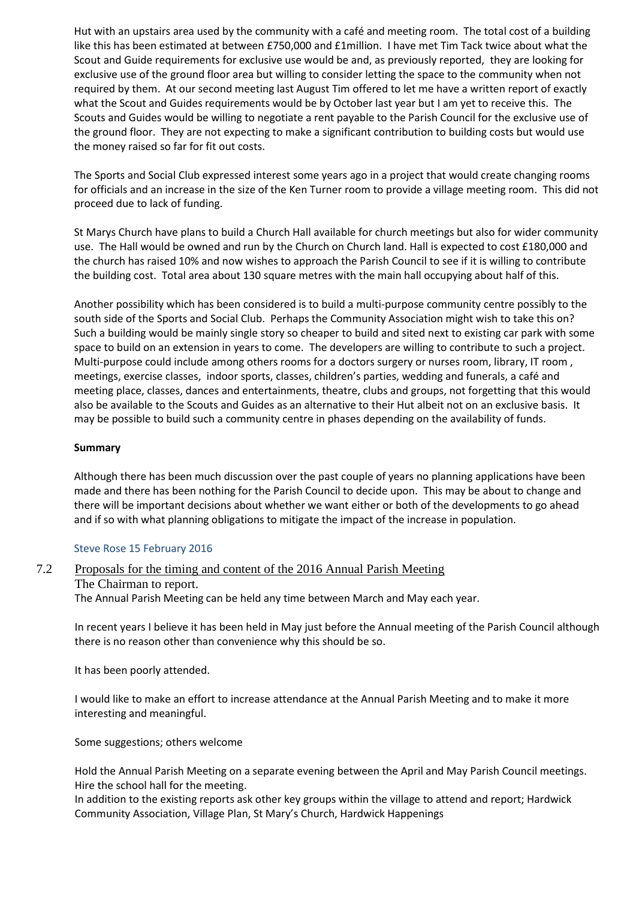Hut with an upstairs area used by the community with a café and meeting room. The total cost of a building like this has been estimated at between £750,000 and £1million. I have met Tim Tack twice about what the Scout and Guide requirements for exclusive use would be and, as previously reported, they are looking for exclusive use of the ground floor area but willing to consider letting the space to the community when not required by them. At our second meeting last August Tim offered to let me have a written report of exactly what the Scout and Guides requirements would be by October last year but I am yet to receive this. The Scouts and Guides would be willing to negotiate a rent payable to the Parish Council for the exclusive use of the ground floor. They are not expecting to make a significant contribution to building costs but would use the money raised so far for fit out costs.

The Sports and Social Club expressed interest some years ago in a project that would create changing rooms for officials and an increase in the size of the Ken Turner room to provide a village meeting room. This did not proceed due to lack of funding.

St Marys Church have plans to build a Church Hall available for church meetings but also for wider community use. The Hall would be owned and run by the Church on Church land. Hall is expected to cost £180,000 and the church has raised 10% and now wishes to approach the Parish Council to see if it is willing to contribute the building cost. Total area about 130 square metres with the main hall occupying about half of this.

Another possibility which has been considered is to build a multi-purpose community centre possibly to the south side of the Sports and Social Club. Perhaps the Community Association might wish to take this on? Such a building would be mainly single story so cheaper to build and sited next to existing car park with some space to build on an extension in years to come. The developers are willing to contribute to such a project. Multi-purpose could include among others rooms for a doctors surgery or nurses room, library, IT room , meetings, exercise classes, indoor sports, classes, children's parties, wedding and funerals, a café and meeting place, classes, dances and entertainments, theatre, clubs and groups, not forgetting that this would also be available to the Scouts and Guides as an alternative to their Hut albeit not on an exclusive basis. It may be possible to build such a community centre in phases depending on the availability of funds.

### **Summary**

Although there has been much discussion over the past couple of years no planning applications have been made and there has been nothing for the Parish Council to decide upon. This may be about to change and there will be important decisions about whether we want either or both of the developments to go ahead and if so with what planning obligations to mitigate the impact of the increase in population.

### Steve Rose 15 February 2016

## 7.2 Proposals for the timing and content of the 2016 Annual Parish Meeting The Chairman to report. The Annual Parish Meeting can be held any time between March and May each year.

In recent years I believe it has been held in May just before the Annual meeting of the Parish Council although there is no reason other than convenience why this should be so.

It has been poorly attended.

I would like to make an effort to increase attendance at the Annual Parish Meeting and to make it more interesting and meaningful.

Some suggestions; others welcome

Hold the Annual Parish Meeting on a separate evening between the April and May Parish Council meetings. Hire the school hall for the meeting.

In addition to the existing reports ask other key groups within the village to attend and report; Hardwick Community Association, Village Plan, St Mary's Church, Hardwick Happenings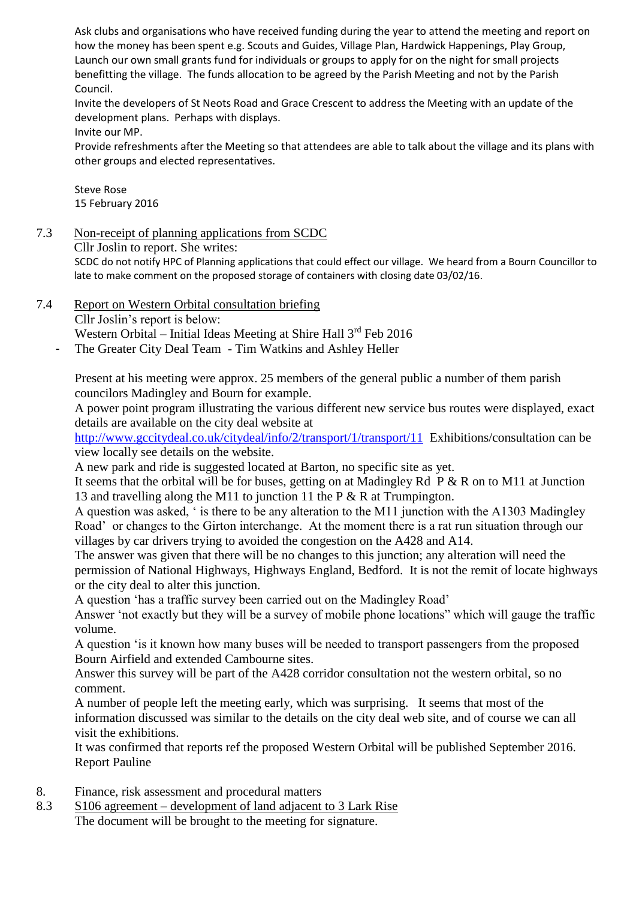Ask clubs and organisations who have received funding during the year to attend the meeting and report on how the money has been spent e.g. Scouts and Guides, Village Plan, Hardwick Happenings, Play Group, Launch our own small grants fund for individuals or groups to apply for on the night for small projects benefitting the village. The funds allocation to be agreed by the Parish Meeting and not by the Parish Council.

Invite the developers of St Neots Road and Grace Crescent to address the Meeting with an update of the development plans. Perhaps with displays.

Invite our MP.

Provide refreshments after the Meeting so that attendees are able to talk about the village and its plans with other groups and elected representatives.

Steve Rose 15 February 2016

# 7.3 Non-receipt of planning applications from SCDC

Cllr Joslin to report. She writes:

SCDC do not notify HPC of Planning applications that could effect our village. We heard from a Bourn Councillor to late to make comment on the proposed storage of containers with closing date 03/02/16.

7.4 Report on Western Orbital consultation briefing

Cllr Joslin"s report is below:

Western Orbital – Initial Ideas Meeting at Shire Hall  $3<sup>rd</sup>$  Feb 2016

The Greater City Deal Team - Tim Watkins and Ashley Heller

Present at his meeting were approx. 25 members of the general public a number of them parish councilors Madingley and Bourn for example.

A power point program illustrating the various different new service bus routes were displayed, exact details are available on the city deal website at

<http://www.gccitydeal.co.uk/citydeal/info/2/transport/1/transport/11>Exhibitions/consultation can be view locally see details on the website.

A new park and ride is suggested located at Barton, no specific site as yet.

It seems that the orbital will be for buses, getting on at Madingley Rd  $\vec{P} \& R$  on to M11 at Junction 13 and travelling along the M11 to junction 11 the P & R at Trumpington.

A question was asked, " is there to be any alteration to the M11 junction with the A1303 Madingley Road' or changes to the Girton interchange. At the moment there is a rat run situation through our villages by car drivers trying to avoided the congestion on the A428 and A14.

The answer was given that there will be no changes to this junction; any alteration will need the permission of National Highways, Highways England, Bedford. It is not the remit of locate highways or the city deal to alter this junction.

A question "has a traffic survey been carried out on the Madingley Road"

Answer "not exactly but they will be a survey of mobile phone locations" which will gauge the traffic volume.

A question "is it known how many buses will be needed to transport passengers from the proposed Bourn Airfield and extended Cambourne sites.

Answer this survey will be part of the A428 corridor consultation not the western orbital, so no comment.

A number of people left the meeting early, which was surprising. It seems that most of the information discussed was similar to the details on the city deal web site, and of course we can all visit the exhibitions.

It was confirmed that reports ref the proposed Western Orbital will be published September 2016. Report Pauline

- 8. Finance, risk assessment and procedural matters
- 8.3 S106 agreement development of land adjacent to 3 Lark Rise The document will be brought to the meeting for signature.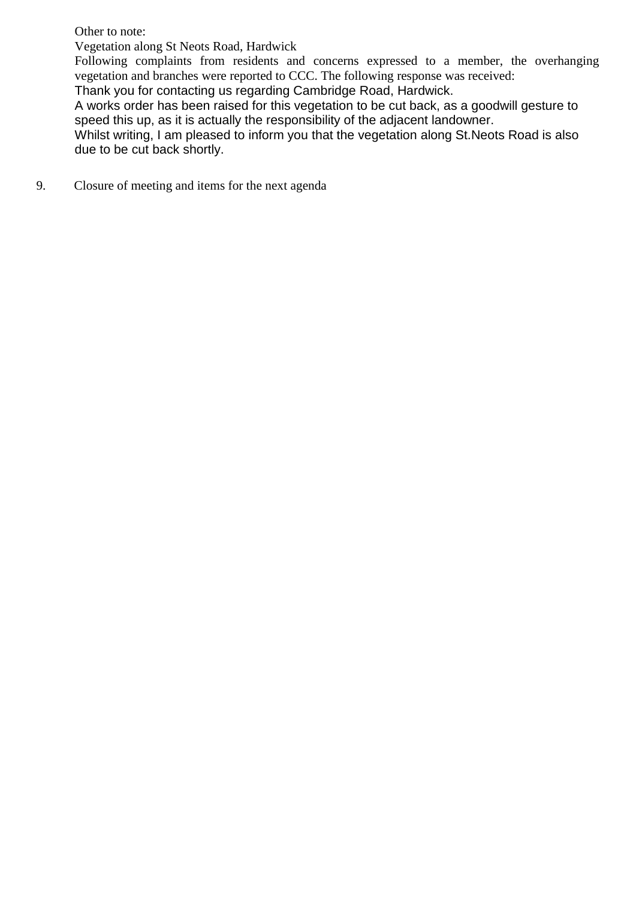Other to note:

Vegetation along St Neots Road, Hardwick

Following complaints from residents and concerns expressed to a member, the overhanging vegetation and branches were reported to CCC. The following response was received:

Thank you for contacting us regarding Cambridge Road, Hardwick.

A works order has been raised for this vegetation to be cut back, as a goodwill gesture to speed this up, as it is actually the responsibility of the adjacent landowner.

Whilst writing, I am pleased to inform you that the vegetation along St. Neots Road is also due to be cut back shortly.

9. Closure of meeting and items for the next agenda